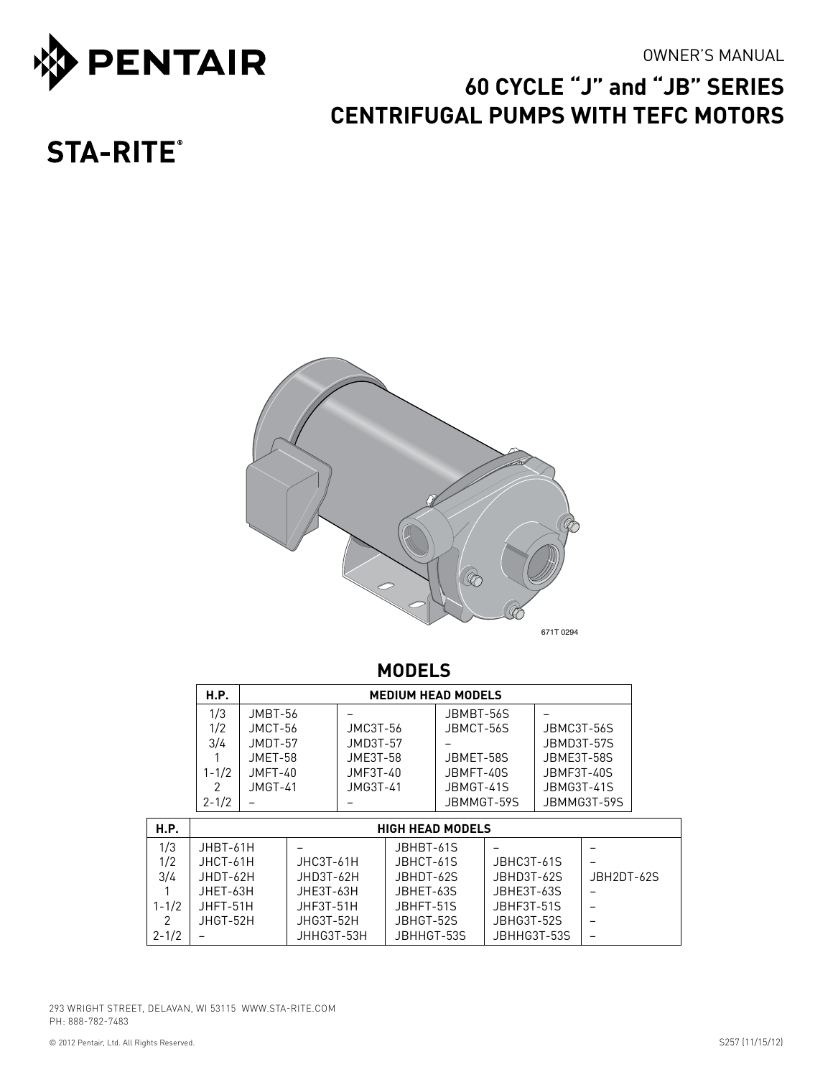



# **60 CYCLE "J" and "JB" series centrifugal pumPS WITH TEFC MOTORS**

# **STA-RITE®**



# **MODELS**

| <b>H.P.</b>   | <b>MEDIUM HEAD MODELS</b> |            |            |             |  |  |  |  |  |  |
|---------------|---------------------------|------------|------------|-------------|--|--|--|--|--|--|
| 1/3           | $JMBT-56$                 |            | JBMBT-56S  |             |  |  |  |  |  |  |
| 1/2           | JMCT-56                   | JMC3T-56   | JBMCT-56S  | JBMC3T-56S  |  |  |  |  |  |  |
| 3/4           | $JMDT-57$                 | $JMD3T-57$ |            | JRMD3T-57S  |  |  |  |  |  |  |
|               | $JMFT-58$                 | $JMF3T-58$ | JRMFT-58S  | JBMF3T-58S  |  |  |  |  |  |  |
| $1 - 1/2$     | $JMFT-40$                 | JMF3T-40   | JBMFT-40S  | JBMF3T-40S  |  |  |  |  |  |  |
| $\mathcal{P}$ | $JMGT-41$                 | JMG3T-41   | JBMGT-41S  | JBMG3T-41S  |  |  |  |  |  |  |
| $2 - 1/2$     |                           |            | JBMMGT-59S | JBMMG3T-59S |  |  |  |  |  |  |

| H.P.      | <b>HIGH HEAD MODELS</b> |             |            |             |            |  |  |  |
|-----------|-------------------------|-------------|------------|-------------|------------|--|--|--|
| 1/3       | JHBT-61H                |             | JBHBT-61S  |             |            |  |  |  |
| 1/2       | JHCT-61H                | $JHC3T-61H$ | JBHCT-61S  | JBHC3T-61S  |            |  |  |  |
| 3/4       | JHDT-62H                | $JHD3T-62H$ | JBHDT-62S  | JBHD3T-62S  | JBH2DT-62S |  |  |  |
|           | JHET-63H                | $JHF3T-63H$ | JBHFT-63S  | JBHE3T-63S  |            |  |  |  |
| $1 - 1/2$ | JHFT-51H                | JHF3T-51H   | JBHFT-51S  | JBHF3T-51S  |            |  |  |  |
| 2         | JHGT-52H                | JHG3T-52H   | JBHGT-52S  | JBHG3T-52S  |            |  |  |  |
| $2 - 1/2$ |                         | JHHG3T-53H  | JBHHGT-53S | JBHHG3T-53S |            |  |  |  |

293 WRIGHT STREET, DELAVAN, WI 53115 WWW.STA-RITE.COM PH: 888-782-7483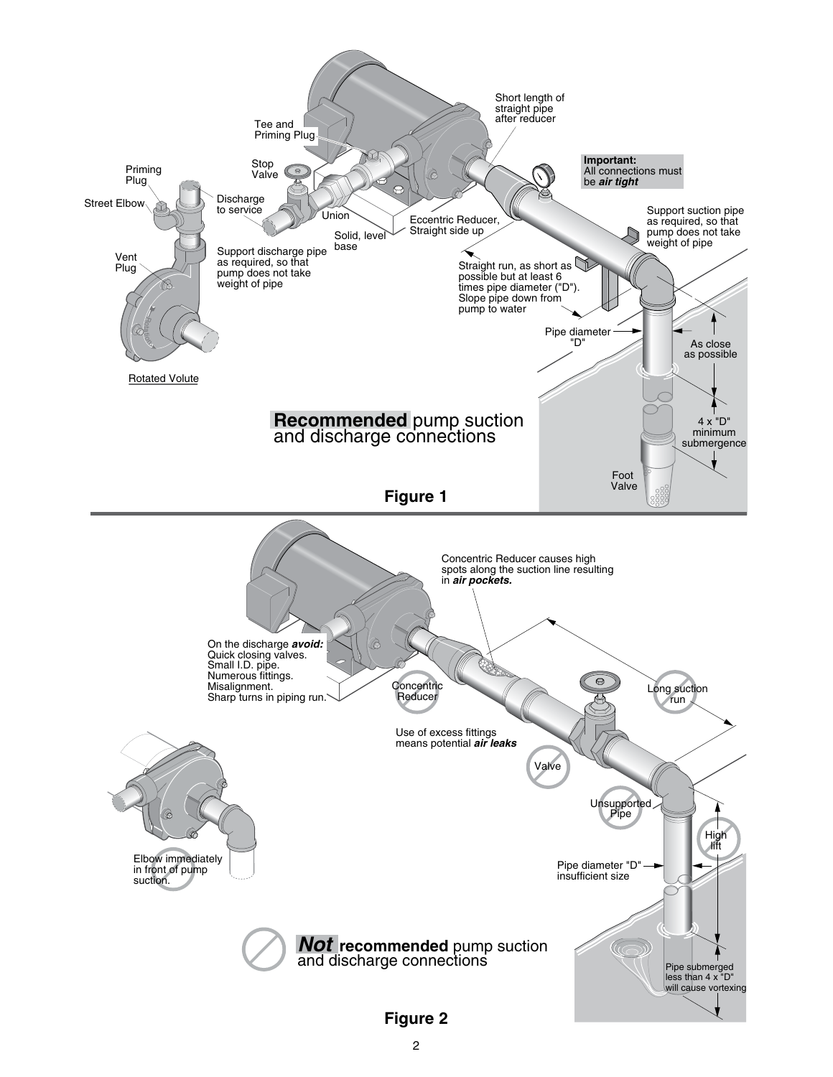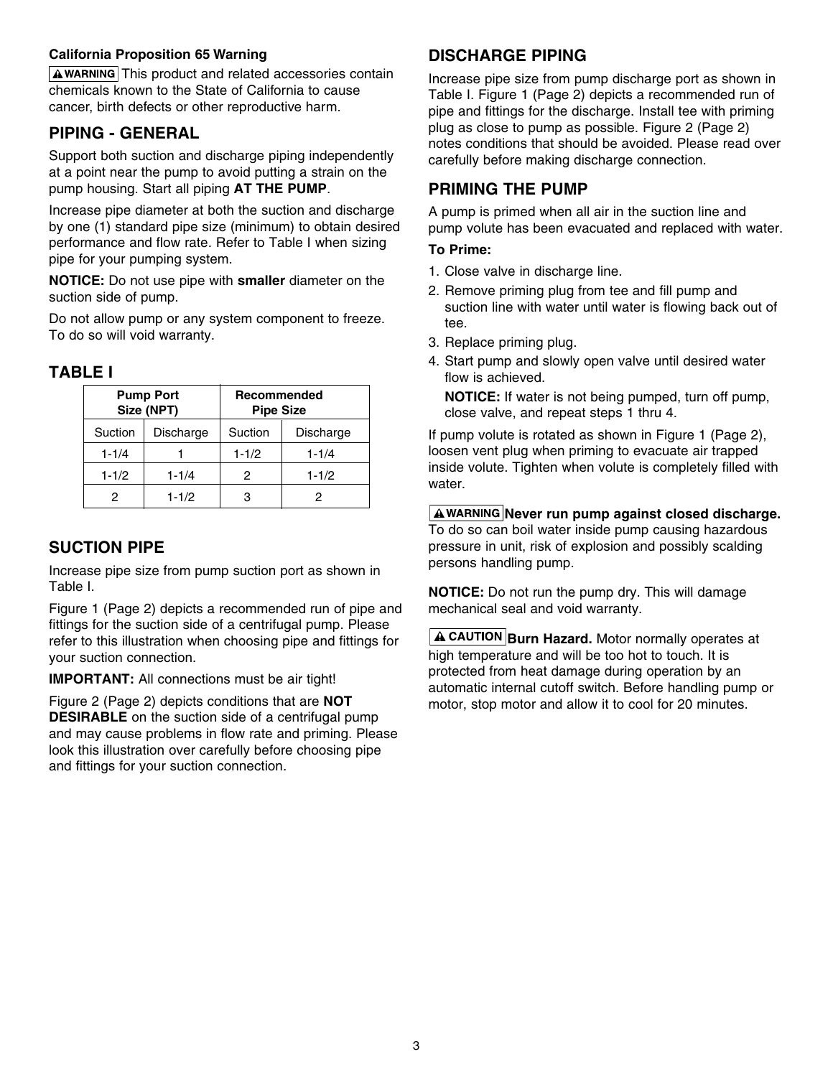#### **California Proposition 65 Warning**

 $A$  WARNING This product and related accessories contain chemicals known to the State of California to cause cancer, birth defects or other reproductive harm.

### **PIPING - GENERAL**

Support both suction and discharge piping independently at a point near the pump to avoid putting a strain on the pump housing. Start all piping **AT THE PUMP**.

Increase pipe diameter at both the suction and discharge by one (1) standard pipe size (minimum) to obtain desired performance and flow rate. Refer to Table I when sizing pipe for your pumping system.

**NOTICE:** Do not use pipe with **smaller** diameter on the suction side of pump.

Do not allow pump or any system component to freeze. To do so will void warranty.

### **TABLE I**

|           | <b>Pump Port</b><br>Size (NPT) | Recommended<br><b>Pipe Size</b> |           |  |  |
|-----------|--------------------------------|---------------------------------|-----------|--|--|
| Suction   | Discharge                      | Suction                         | Discharge |  |  |
| $1 - 1/4$ |                                | $1 - 1/2$                       | $1 - 1/4$ |  |  |
| $1 - 1/2$ | $1 - 1/4$                      | 2                               | $1 - 1/2$ |  |  |
| 2         | $1 - 1/2$                      | з                               |           |  |  |

### **SUCTION PIPE**

Increase pipe size from pump suction port as shown in Table I.

Figure 1 (Page 2) depicts a recommended run of pipe and fittings for the suction side of a centrifugal pump. Please refer to this illustration when choosing pipe and fittings for your suction connection.

**IMPORTANT:** All connections must be air tight!

Figure 2 (Page 2) depicts conditions that are **NOT DESIRABLE** on the suction side of a centrifugal pump and may cause problems in flow rate and priming. Please look this illustration over carefully before choosing pipe and fittings for your suction connection.

## **DISCHARGE PIPING**

Increase pipe size from pump discharge port as shown in Table I. Figure 1 (Page 2) depicts a recommended run of pipe and fittings for the discharge. Install tee with priming plug as close to pump as possible. Figure 2 (Page 2) notes conditions that should be avoided. Please read over carefully before making discharge connection.

### **PRIMING THE PUMP**

A pump is primed when all air in the suction line and pump volute has been evacuated and replaced with water.

#### **To Prime:**

- 1. Close valve in discharge line.
- 2. Remove priming plug from tee and fill pump and suction line with water until water is flowing back out of tee.
- 3. Replace priming plug.
- 4. Start pump and slowly open valve until desired water flow is achieved.

**NOTICE:** If water is not being pumped, turn off pump, close valve, and repeat steps 1 thru 4.

If pump volute is rotated as shown in Figure 1 (Page 2), loosen vent plug when priming to evacuate air trapped inside volute. Tighten when volute is completely filled with water.

#### **A WARNING Never run pump against closed discharge.**

To do so can boil water inside pump causing hazardous pressure in unit, risk of explosion and possibly scalding persons handling pump.

**NOTICE:** Do not run the pump dry. This will damage mechanical seal and void warranty.

**A CAUTION Burn Hazard.** Motor normally operates at high temperature and will be too hot to touch. It is protected from heat damage during operation by an automatic internal cutoff switch. Before handling pump or motor, stop motor and allow it to cool for 20 minutes.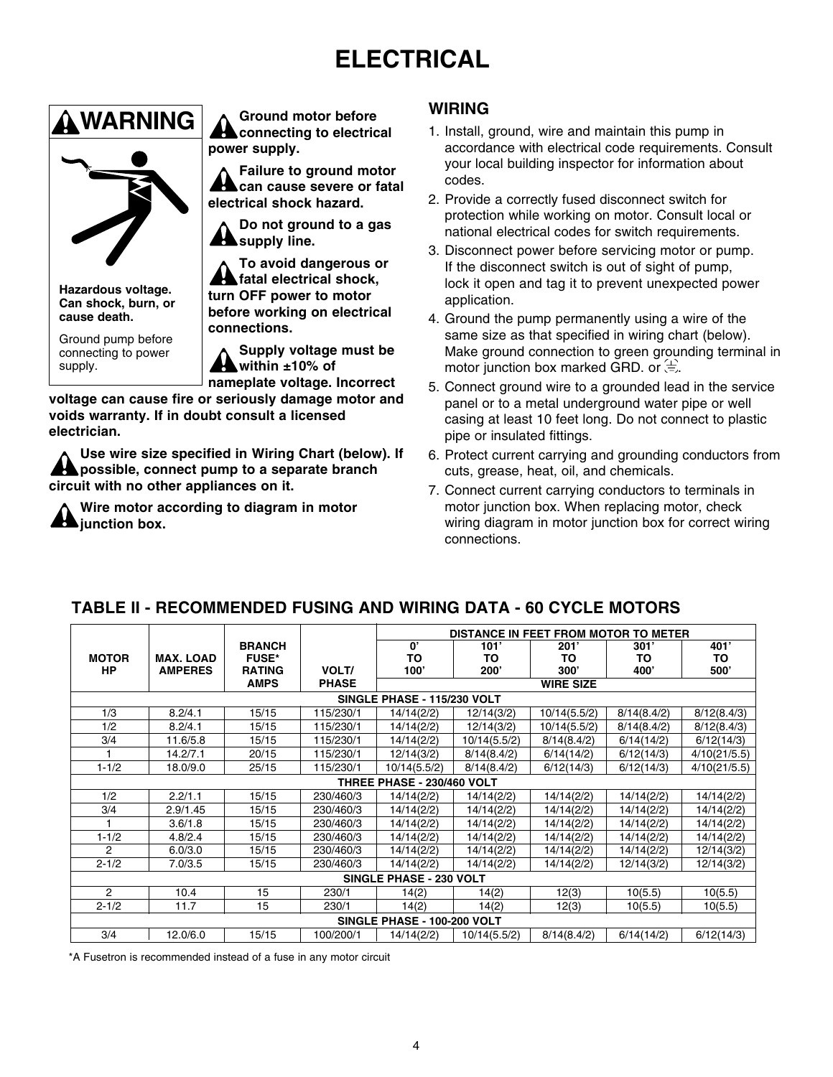# **ELECTRICAL**



**Hazardous voltage. Can shock, burn, or cause death.**

Ground pump before connecting to power supply.

**Ground motor before A** connecting to electrical **power supply.**

**Failure to ground motor can cause severe or fatal electrical shock hazard.**

**Do not ground to a gas supply line.**

**To avoid dangerous or fatal electrical shock, turn OFF power to motor before working on electrical connections.**

**Supply voltage must be within ±10% of** 

**nameplate voltage. Incorrect voltage can cause fire or seriously damage motor and voids warranty. If in doubt consult a licensed electrician.**

**Use wire size specified in Wiring Chart (below). If possible, connect pump to a separate branch circuit with no other appliances on it.**

**Wire motor according to diagram in motor junction box.**

### **WIRING**

- 1. Install, ground, wire and maintain this pump in accordance with electrical code requirements. Consult your local building inspector for information about codes.
- 2. Provide a correctly fused disconnect switch for protection while working on motor. Consult local or national electrical codes for switch requirements.
- 3. Disconnect power before servicing motor or pump. If the disconnect switch is out of sight of pump, lock it open and tag it to prevent unexpected power application.
- 4. Ground the pump permanently using a wire of the same size as that specified in wiring chart (below). Make ground connection to green grounding terminal in motor junction box marked GRD. or  $\overline{a}$ .
- 5. Connect ground wire to a grounded lead in the service panel or to a metal underground water pipe or well casing at least 10 feet long. Do not connect to plastic pipe or insulated fittings.
- 6. Protect current carrying and grounding conductors from cuts, grease, heat, oil, and chemicals.
- 7. Connect current carrying conductors to terminals in motor junction box. When replacing motor, check wiring diagram in motor junction box for correct wiring connections.

### **TABLE II - RECOMMENDED FUSING AND WIRING DATA - 60 CYCLE MOTORS**

|                |                             |               |              | DISTANCE IN FEET FROM MOTOR TO METER |              |                  |             |              |  |
|----------------|-----------------------------|---------------|--------------|--------------------------------------|--------------|------------------|-------------|--------------|--|
|                |                             | <b>BRANCH</b> |              | 0'                                   | 101'         | 201'             | 301'        | 401'         |  |
| <b>MOTOR</b>   | <b>MAX. LOAD</b>            | <b>FUSE*</b>  |              | TO                                   | TO           | ΤО               | TO          | TO           |  |
| HP             | <b>AMPERES</b>              | <b>RATING</b> | VOLT/        | 100'                                 | 200'         | 300'             | 400'        | 500'         |  |
|                |                             | <b>AMPS</b>   | <b>PHASE</b> |                                      |              | <b>WIRE SIZE</b> |             |              |  |
|                | SINGLE PHASE - 115/230 VOLT |               |              |                                      |              |                  |             |              |  |
| 1/3            | 8.2/4.1                     | 15/15         | 115/230/1    | 14/14(2/2)                           | 12/14(3/2)   | 10/14(5.5/2)     | 8/14(8.4/2) | 8/12(8.4/3)  |  |
| 1/2            | 8.2/4.1                     | 15/15         | 115/230/1    | 14/14(2/2)                           | 12/14(3/2)   | 10/14(5.5/2)     | 8/14(8.4/2) | 8/12(8.4/3)  |  |
| 3/4            | 11.6/5.8                    | 15/15         | 115/230/1    | 14/14(2/2)                           | 10/14(5.5/2) | 8/14(8.4/2)      | 6/14(14/2)  | 6/12(14/3)   |  |
|                | 14.2/7.1                    | 20/15         | 115/230/1    | 12/14(3/2)                           | 8/14(8.4/2)  | 6/14(14/2)       | 6/12(14/3)  | 4/10(21/5.5) |  |
| $1 - 1/2$      | 18.0/9.0                    | 25/15         | 115/230/1    | 10/14(5.5/2)                         | 8/14(8.4/2)  | 6/12(14/3)       | 6/12(14/3)  | 4/10(21/5.5) |  |
|                |                             |               |              | THREE PHASE - 230/460 VOLT           |              |                  |             |              |  |
| 1/2            | 2.2/1.1                     | 15/15         | 230/460/3    | 14/14(2/2)                           | 14/14(2/2)   | 14/14(2/2)       | 14/14(2/2)  | 14/14(2/2)   |  |
| 3/4            | 2.9/1.45                    | 15/15         | 230/460/3    | 14/14(2/2)                           | 14/14(2/2)   | 14/14(2/2)       | 14/14(2/2)  | 14/14(2/2)   |  |
|                | 3.6/1.8                     | 15/15         | 230/460/3    | 14/14(2/2)                           | 14/14(2/2)   | 14/14(2/2)       | 14/14(2/2)  | 14/14(2/2)   |  |
| $1 - 1/2$      | 4.8/2.4                     | 15/15         | 230/460/3    | 14/14(2/2)                           | 14/14(2/2)   | 14/14(2/2)       | 14/14(2/2)  | 14/14(2/2)   |  |
| $\overline{2}$ | 6.0/3.0                     | 15/15         | 230/460/3    | 14/14(2/2)                           | 14/14(2/2)   | 14/14(2/2)       | 14/14(2/2)  | 12/14(3/2)   |  |
| $2 - 1/2$      | 7.0/3.5                     | 15/15         | 230/460/3    | 14/14(2/2)                           | 14/14(2/2)   | 14/14(2/2)       | 12/14(3/2)  | 12/14(3/2)   |  |
|                |                             |               |              | SINGLE PHASE - 230 VOLT              |              |                  |             |              |  |
| 2              | 10.4                        | 15            | 230/1        | 14(2)                                | 14(2)        | 12(3)            | 10(5.5)     | 10(5.5)      |  |
| $2 - 1/2$      | 11.7                        | 15            | 230/1        | 14(2)                                | 14(2)        | 12(3)            | 10(5.5)     | 10(5.5)      |  |
|                |                             |               |              | SINGLE PHASE - 100-200 VOLT          |              |                  |             |              |  |
| 3/4            | 12.0/6.0                    | 15/15         | 100/200/1    | 14/14(2/2)                           | 10/14(5.5/2) | 8/14(8.4/2)      | 6/14(14/2)  | 6/12(14/3)   |  |

\*A Fusetron is recommended instead of a fuse in any motor circuit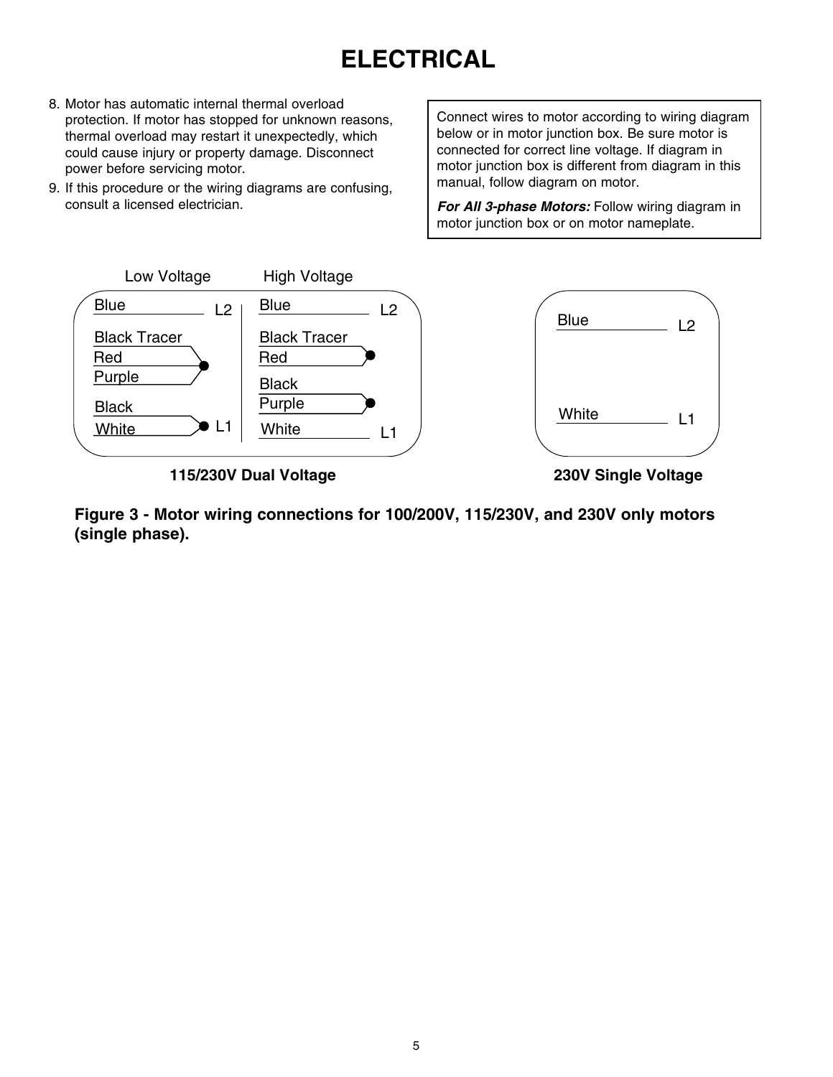# **ELECTRICAL**

- 8. Motor has automatic internal thermal overload protection. If motor has stopped for unknown reasons, thermal overload may restart it unexpectedly, which could cause injury or property damage. Disconnect power before servicing motor.
- 9. If this procedure or the wiring diagrams are confusing, consult a licensed electrician.

Connect wires to motor according to wiring diagram below or in motor junction box. Be sure motor is connected for correct line voltage. If diagram in motor junction box is different from diagram in this manual, follow diagram on motor.

*For All 3-phase Motors:* Follow wiring diagram in motor junction box or on motor nameplate.



**115/230V Dual Voltage 230V Single Voltage**

Figure 3 - Motor wiring connections for 100/200V, 115/230V, and 230V only motors **(single phase).**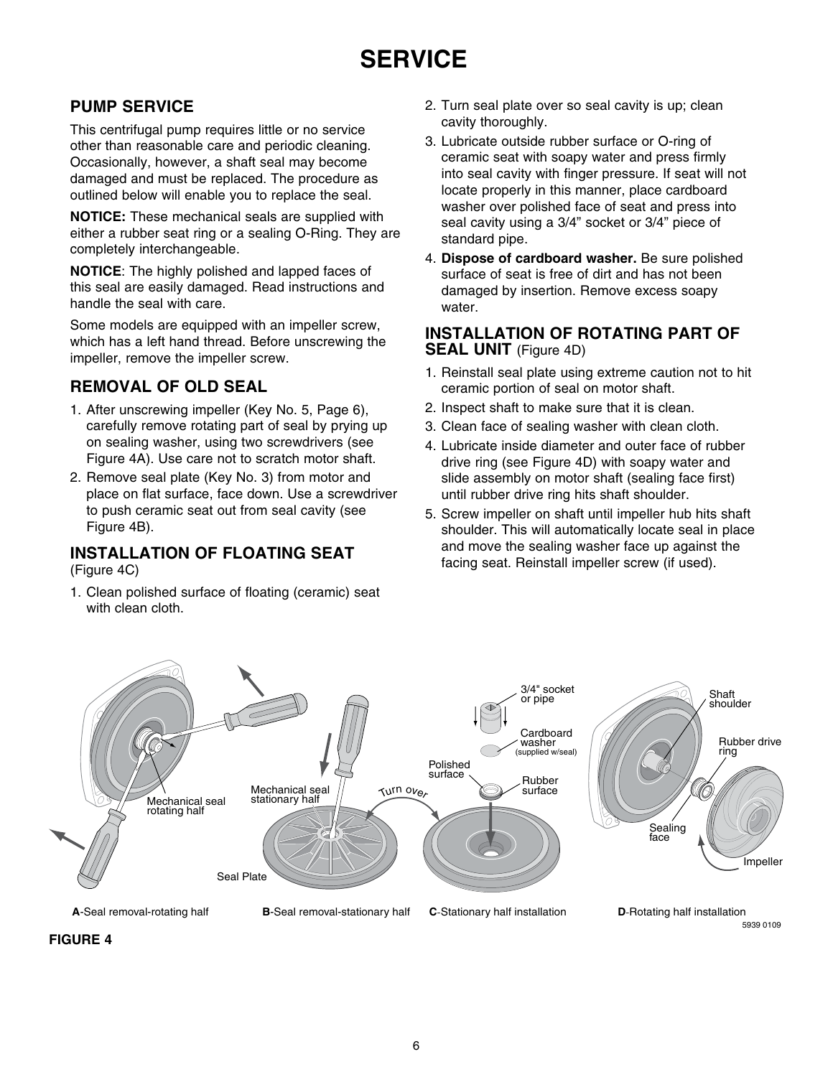## **PUMP SERVICE**

This centrifugal pump requires little or no service other than reasonable care and periodic cleaning. Occasionally, however, a shaft seal may become damaged and must be replaced. The procedure as outlined below will enable you to replace the seal.

**NOTICE:** These mechanical seals are supplied with either a rubber seat ring or a sealing O-Ring. They are completely interchangeable.

**NOTICE**: The highly polished and lapped faces of this seal are easily damaged. Read instructions and handle the seal with care.

Some models are equipped with an impeller screw, which has a left hand thread. Before unscrewing the impeller, remove the impeller screw.

### **Removal of Old Seal**

- 1. After unscrewing impeller (Key No. 5, Page 6), carefully remove rotating part of seal by prying up on sealing washer, using two screwdrivers (see Figure 4A). Use care not to scratch motor shaft.
- 2. Remove seal plate (Key No. 3) from motor and place on flat surface, face down. Use a screwdriver to push ceramic seat out from seal cavity (see Figure 4B).

### **Installation of Floating Seat**

(Figure 4C)

1. Clean polished surface of floating (ceramic) seat with clean cloth.

- 2. Turn seal plate over so seal cavity is up; clean cavity thoroughly.
- 3. Lubricate outside rubber surface or O-ring of ceramic seat with soapy water and press firmly into seal cavity with finger pressure. If seat will not locate properly in this manner, place cardboard washer over polished face of seat and press into seal cavity using a 3/4" socket or 3/4" piece of standard pipe.
- 4. **Dispose of cardboard washer.** Be sure polished surface of seat is free of dirt and has not been damaged by insertion. Remove excess soapy water.

### **Installation of Rotating Part of SEAL UNIT** (Figure 4D)

- 1. Reinstall seal plate using extreme caution not to hit ceramic portion of seal on motor shaft.
- 2. Inspect shaft to make sure that it is clean.
- 3. Clean face of sealing washer with clean cloth.
- 4. Lubricate inside diameter and outer face of rubber drive ring (see Figure 4D) with soapy water and slide assembly on motor shaft (sealing face first) until rubber drive ring hits shaft shoulder.
- 5. Screw impeller on shaft until impeller hub hits shaft shoulder. This will automatically locate seal in place and move the sealing washer face up against the facing seat. Reinstall impeller screw (if used).



**FIGURE 4**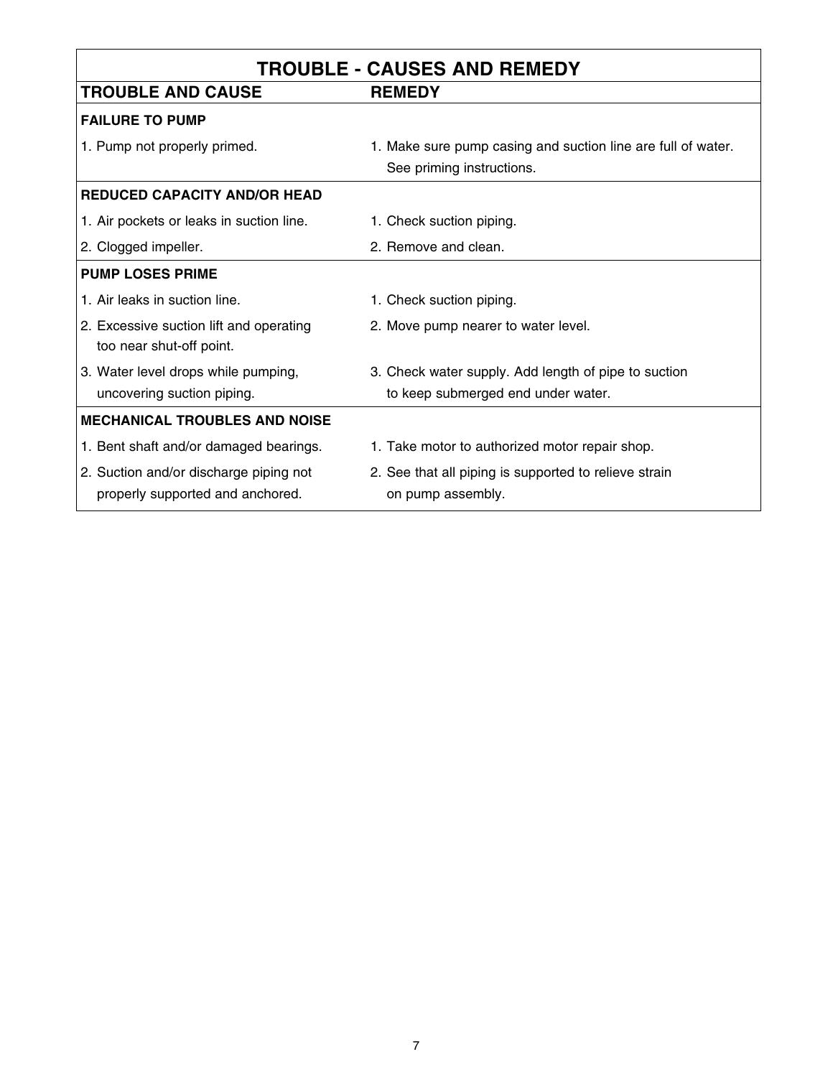| <b>TROUBLE - CAUSES AND REMEDY</b>                                  |                                                              |  |  |  |  |  |
|---------------------------------------------------------------------|--------------------------------------------------------------|--|--|--|--|--|
| <b>TROUBLE AND CAUSE</b>                                            | <b>REMEDY</b>                                                |  |  |  |  |  |
| <b>FAILURE TO PUMP</b>                                              |                                                              |  |  |  |  |  |
| 1. Pump not properly primed.                                        | 1. Make sure pump casing and suction line are full of water. |  |  |  |  |  |
|                                                                     | See priming instructions.                                    |  |  |  |  |  |
| <b>REDUCED CAPACITY AND/OR HEAD</b>                                 |                                                              |  |  |  |  |  |
| 1. Air pockets or leaks in suction line.                            | 1. Check suction piping.                                     |  |  |  |  |  |
| 2. Clogged impeller.                                                | 2. Remove and clean.                                         |  |  |  |  |  |
| <b>PUMP LOSES PRIME</b>                                             |                                                              |  |  |  |  |  |
| 1. Air leaks in suction line.                                       | 1. Check suction piping.                                     |  |  |  |  |  |
| 2. Excessive suction lift and operating<br>too near shut-off point. | 2. Move pump nearer to water level.                          |  |  |  |  |  |
| 3. Water level drops while pumping,                                 | 3. Check water supply. Add length of pipe to suction         |  |  |  |  |  |
| uncovering suction piping.                                          | to keep submerged end under water.                           |  |  |  |  |  |
| <b>MECHANICAL TROUBLES AND NOISE</b>                                |                                                              |  |  |  |  |  |
| 1. Bent shaft and/or damaged bearings.                              | 1. Take motor to authorized motor repair shop.               |  |  |  |  |  |
| 2. Suction and/or discharge piping not                              | 2. See that all piping is supported to relieve strain        |  |  |  |  |  |
| properly supported and anchored.                                    | on pump assembly.                                            |  |  |  |  |  |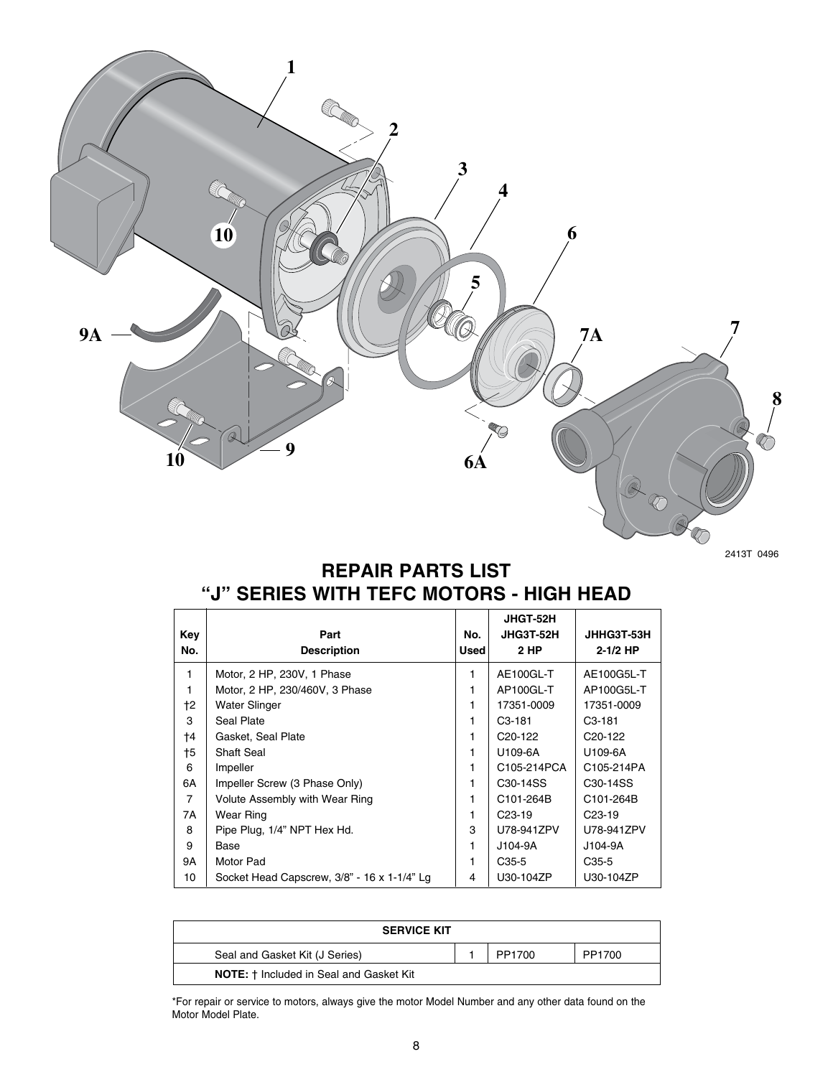

2413T 0496

## **REPAIR PARTS LIST "J" SERIES WITH TEFC MOTORS - HIGH HEAD**

|                |                                             |             | <b>JHGT-52H</b>                   |                       |
|----------------|---------------------------------------------|-------------|-----------------------------------|-----------------------|
| Kev            | Part                                        | No.         | JHG3T-52H                         | JHHG3T-53H            |
| No.            | <b>Description</b>                          | <b>Used</b> | 2 HP                              | $2 - 1/2$ HP          |
| 1              | Motor, 2 HP, 230V, 1 Phase                  | 1           | AE100GL-T                         | AE100G5L-T            |
| 1              | Motor, 2 HP, 230/460V, 3 Phase              |             | AP100GL-T                         | AP100G5L-T            |
| †2             | Water Slinger                               |             | 17351-0009                        | 17351-0009            |
| 3              | Seal Plate                                  |             | C <sub>3</sub> -181               | C <sub>3</sub> -181   |
| †4             | Gasket, Seal Plate                          |             | C <sub>20</sub> -122              | C <sub>20</sub> -122  |
| †5             | <b>Shaft Seal</b>                           | 1           | U109-6A                           | U109-6A               |
| 6              | Impeller                                    | 1           | C105-214PCA                       | C105-214PA            |
| 6A             | Impeller Screw (3 Phase Only)               |             | C <sub>30</sub> -14 <sub>SS</sub> | C <sub>30</sub> -14SS |
| $\overline{7}$ | Volute Assembly with Wear Ring              |             | C101-264B                         | C101-264B             |
| 7A             | Wear Ring                                   |             | C <sub>23</sub> -19               | C <sub>23</sub> -19   |
| 8              | Pipe Plug, 1/4" NPT Hex Hd.                 | 3           | U78-941ZPV                        | U78-941ZPV            |
| 9              | Base                                        |             | $J104-9A$                         | J104-9A               |
| 9A             | Motor Pad                                   |             | $C35-5$                           | C <sub>35</sub> -5    |
| 10             | Socket Head Capscrew, 3/8" - 16 x 1-1/4" Lg | 4           | U30-104ZP                         | U30-104ZP             |

| <b>SERVICE KIT</b>                             |  |        |        |  |  |  |
|------------------------------------------------|--|--------|--------|--|--|--|
| Seal and Gasket Kit (J Series)                 |  | PP1700 | PP1700 |  |  |  |
| <b>NOTE:</b> † Included in Seal and Gasket Kit |  |        |        |  |  |  |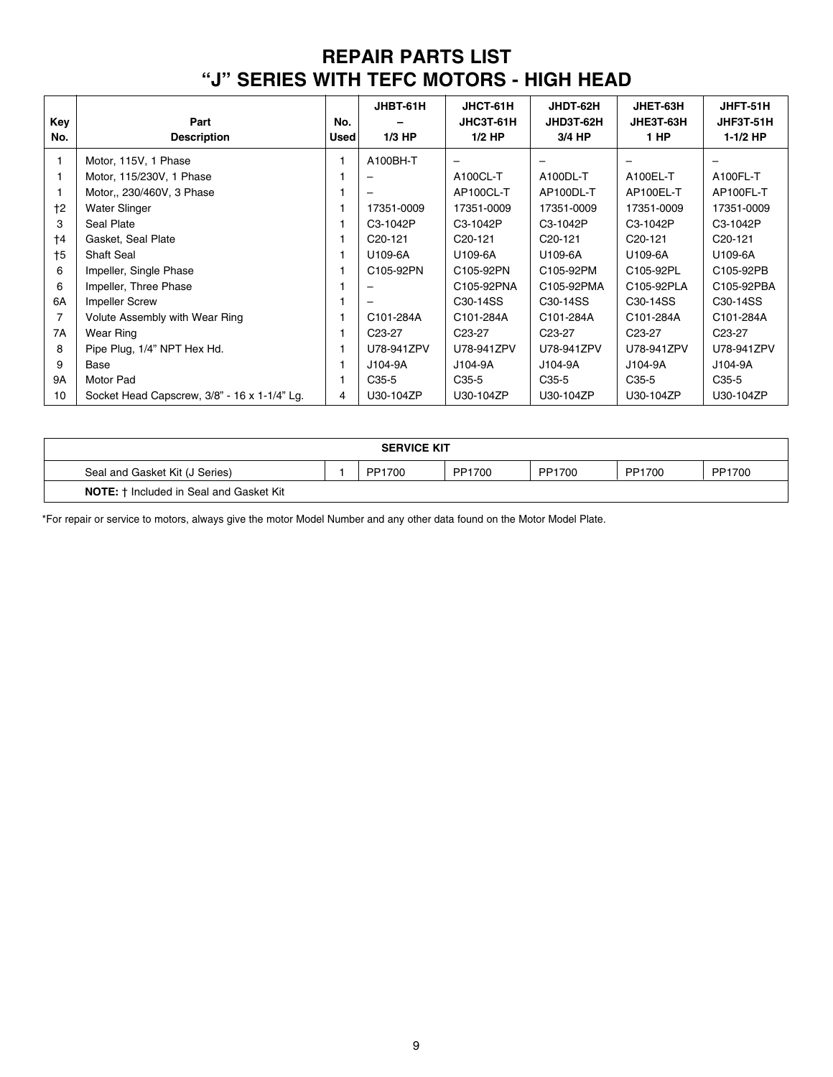## **REPAIR PARTS LIST "J" SERIES WITH TEFC MOTORS - HIGH HEAD**

| Key         | Part                                         | No.         | JHBT-61H             | JHCT-61H<br>JHC3T-61H | JHDT-62H<br>JHD3T-62H | JHET-63H<br>JHE3T-63H | JHFT-51H<br>JHF3T-51H |
|-------------|----------------------------------------------|-------------|----------------------|-----------------------|-----------------------|-----------------------|-----------------------|
| No.         | <b>Description</b>                           | <b>Used</b> | $1/3$ HP             | $1/2$ HP              | 3/4 HP                | 1 HP                  | $1-1/2$ HP            |
|             | Motor, 115V, 1 Phase                         |             | A100BH-T             | -                     |                       |                       | -                     |
|             | Motor, 115/230V, 1 Phase                     |             |                      | A100CL-T              | A100DL-T              | A100EL-T              | A100FL-T              |
|             | Motor., 230/460V, 3 Phase                    |             |                      | AP100CL-T             | AP100DL-T             | AP100EL-T             | AP100FL-T             |
| $+2$        | <b>Water Slinger</b>                         |             | 17351-0009           | 17351-0009            | 17351-0009            | 17351-0009            | 17351-0009            |
| 3           | Seal Plate                                   |             | C3-1042P             | C3-1042P              | C3-1042P              | C3-1042P              | C3-1042P              |
| $\dagger$ 4 | Gasket, Seal Plate                           |             | C <sub>20</sub> -121 | C <sub>20</sub> -121  | C <sub>20</sub> -121  | C <sub>20</sub> -121  | C <sub>20</sub> -121  |
| $\dagger$ 5 | <b>Shaft Seal</b>                            |             | U109-6A              | U109-6A               | U109-6A               | U109-6A               | U109-6A               |
| 6           | Impeller, Single Phase                       |             | C105-92PN            | C105-92PN             | C105-92PM             | C105-92PL             | C105-92PB             |
| 6           | Impeller, Three Phase                        |             |                      | C105-92PNA            | C105-92PMA            | C105-92PLA            | C105-92PBA            |
| 6A          | <b>Impeller Screw</b>                        |             |                      | C30-14SS              | C30-14SS              | C30-14SS              | C30-14SS              |
| 7           | Volute Assembly with Wear Ring               |             | C101-284A            | C101-284A             | C101-284A             | C101-284A             | C101-284A             |
| 7A          | <b>Wear Ring</b>                             |             | C <sub>23</sub> -27  | C <sub>23</sub> -27   | C <sub>23</sub> -27   | C <sub>23</sub> -27   | C <sub>23</sub> -27   |
| 8           | Pipe Plug, 1/4" NPT Hex Hd.                  |             | U78-941ZPV           | U78-941ZPV            | U78-941ZPV            | U78-941ZPV            | U78-941ZPV            |
| 9           | Base                                         |             | J104-9A              | J104-9A               | J104-9A               | J104-9A               | J104-9A               |
| <b>9A</b>   | Motor Pad                                    |             | C <sub>35</sub> -5   | C <sub>35</sub> -5    | $C35-5$               | C <sub>35</sub> -5    | C <sub>35</sub> -5    |
| 10          | Socket Head Capscrew, 3/8" - 16 x 1-1/4" Lg. | 4           | U30-104ZP            | U30-104ZP             | U30-104ZP             | U30-104ZP             | U30-104ZP             |

| <b>SERVICE KIT</b>                             |  |        |        |        |        |        |  |  |
|------------------------------------------------|--|--------|--------|--------|--------|--------|--|--|
| Seal and Gasket Kit (J Series)                 |  | PP1700 | PP1700 | PP1700 | PP1700 | PP1700 |  |  |
| <b>NOTE:</b> † Included in Seal and Gasket Kit |  |        |        |        |        |        |  |  |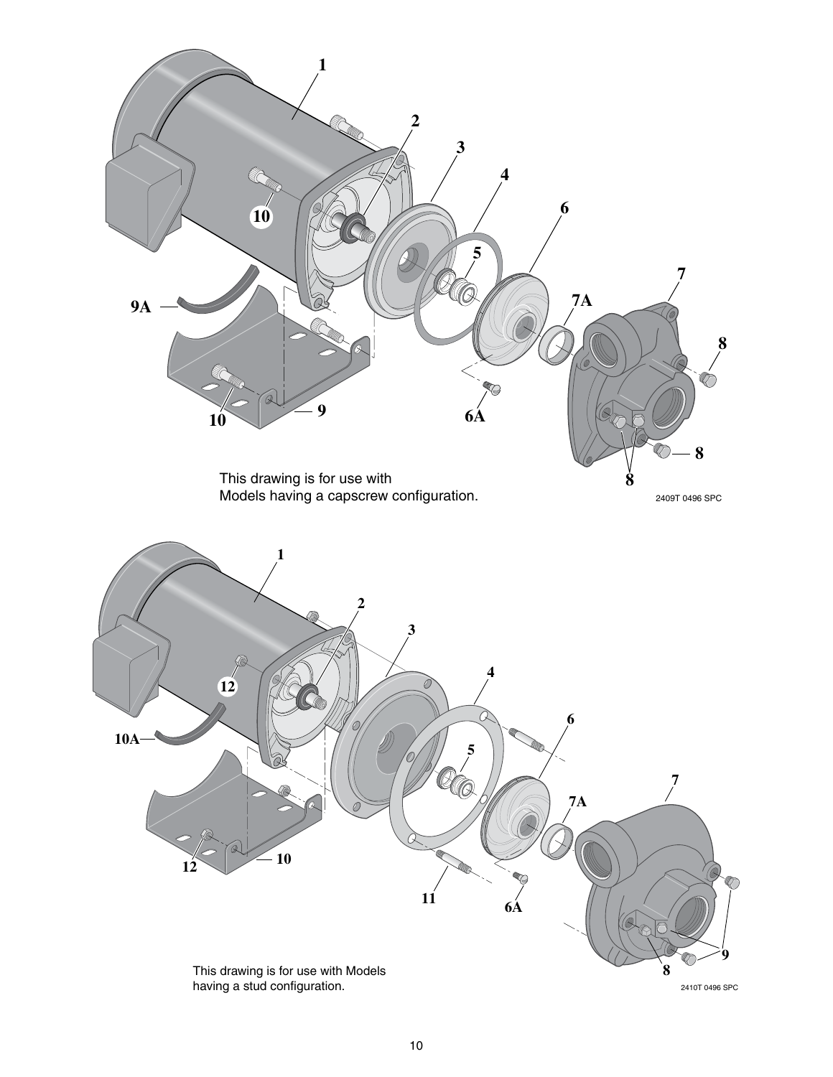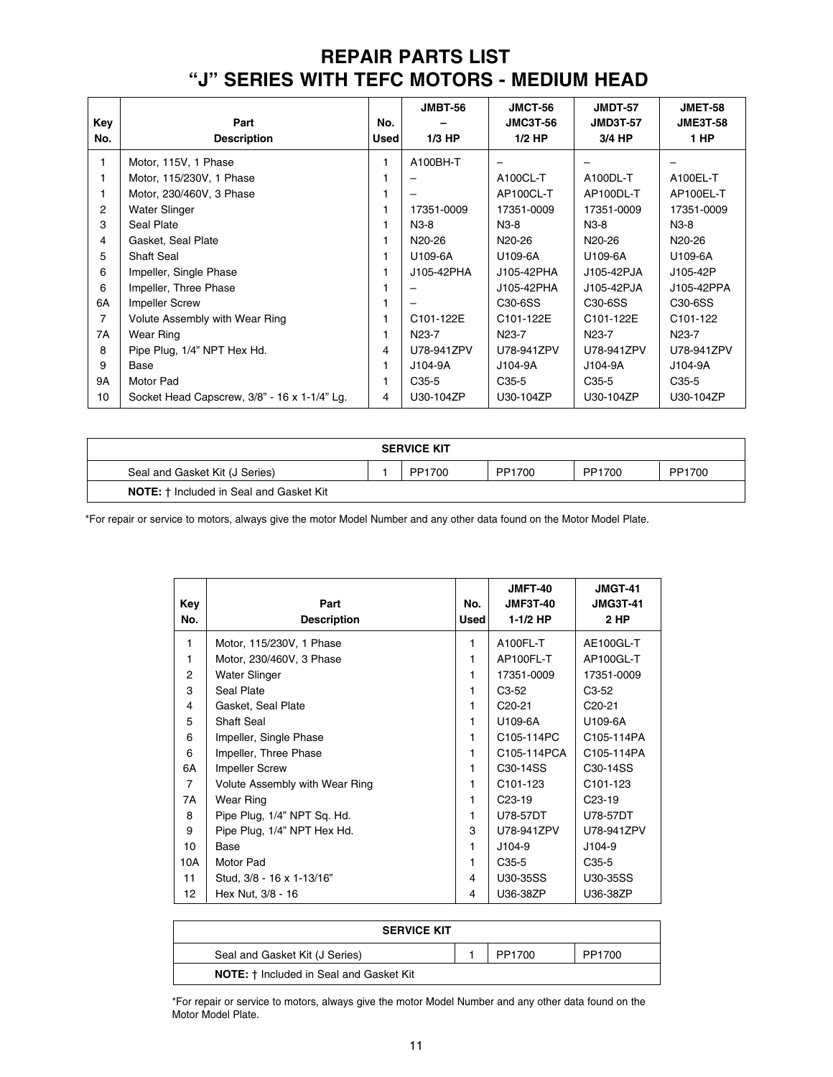## **REPAIR PARTS LIST "J" SERIES WITH TEFC MOTORS - MEDIUM HEAD**

|                |                                              |             | <b>JMBT-56</b>      | <b>JMCT-56</b>      | <b>JMDT-57</b>                   | <b>JMET-58</b>                   |
|----------------|----------------------------------------------|-------------|---------------------|---------------------|----------------------------------|----------------------------------|
| Key            | Part                                         | No.         |                     | <b>JMC3T-56</b>     | <b>JMD3T-57</b>                  | <b>JME3T-58</b>                  |
| No.            | <b>Description</b>                           | <b>Used</b> | $1/3$ HP            | $1/2$ HP            | 3/4 HP                           | 1 HP                             |
| 1              | Motor, 115V, 1 Phase                         |             | A100BH-T            |                     |                                  |                                  |
|                | Motor, 115/230V, 1 Phase                     |             |                     | A100CL-T            | A100DL-T                         | A100EL-T                         |
|                | Motor, 230/460V, 3 Phase                     |             |                     | AP100CL-T           | AP100DL-T                        | AP100EL-T                        |
| $\overline{2}$ | <b>Water Slinger</b>                         |             | 17351-0009          | 17351-0009          | 17351-0009                       | 17351-0009                       |
| 3              | Seal Plate                                   |             | $N3-8$              | $N3-8$              | $N3-8$                           | $N3-8$                           |
| 4              | Gasket, Seal Plate                           |             | N <sub>20</sub> -26 | N <sub>20</sub> -26 | N <sub>20</sub> -26              | N <sub>20</sub> -26              |
| 5              | <b>Shaft Seal</b>                            |             | U109-6A             | U109-6A             | U109-6A                          | U109-6A                          |
| 6              | Impeller, Single Phase                       |             | J105-42PHA          | J105-42PHA          | J105-42PJA                       | J105-42P                         |
| 6              | Impeller, Three Phase                        |             |                     | J105-42PHA          | J105-42PJA                       | J105-42PPA                       |
| 6A             | <b>Impeller Screw</b>                        |             |                     | C30-6SS             | C <sub>30</sub> -6 <sub>SS</sub> | C <sub>30</sub> -6 <sub>SS</sub> |
| 7              | Volute Assembly with Wear Ring               |             | C101-122E           | C101-122E           | C101-122E                        | C <sub>101</sub> -122            |
| 7A             | <b>Wear Ring</b>                             |             | N <sub>23</sub> -7  | N <sub>23</sub> -7  | N23-7                            | N23-7                            |
| 8              | Pipe Plug, 1/4" NPT Hex Hd.                  | 4           | U78-941ZPV          | U78-941ZPV          | U78-941ZPV                       | U78-941ZPV                       |
| 9              | Base                                         |             | J104-9A             | J104-9A             | J104-9A                          | J104-9A                          |
| 9A             | Motor Pad                                    |             | C <sub>35</sub> -5  | $C35-5$             | C <sub>35</sub> -5               | C <sub>35</sub> -5               |
| 10             | Socket Head Capscrew, 3/8" - 16 x 1-1/4" Lg. | 4           | U30-104ZP           | U30-104ZP           | U30-104ZP                        | U30-104ZP                        |

| <b>SERVICE KIT</b>                             |  |        |        |        |        |  |  |
|------------------------------------------------|--|--------|--------|--------|--------|--|--|
| Seal and Gasket Kit (J Series)                 |  | PP1700 | PP1700 | PP1700 | PP1700 |  |  |
| <b>NOTE:</b> † Included in Seal and Gasket Kit |  |        |        |        |        |  |  |

\*For repair or service to motors, always give the motor Model Number and any other data found on the Motor Model Plate.

| Key<br>No.     | Part<br><b>Description</b>     | No.<br><b>Used</b> | <b>JMFT-40</b><br><b>JMF3T-40</b><br>1-1/2 HP | <b>JMGT-41</b><br><b>JMG3T-41</b><br>2 HP |
|----------------|--------------------------------|--------------------|-----------------------------------------------|-------------------------------------------|
| $\mathbf{1}$   | Motor, 115/230V, 1 Phase       | 1                  | A100FL-T                                      | AE100GL-T                                 |
| 1              | Motor, 230/460V, 3 Phase       | 1                  | AP100FL-T                                     | AP100GL-T                                 |
| 2              | <b>Water Slinger</b>           | 1                  | 17351-0009                                    | 17351-0009                                |
| 3              | Seal Plate                     | 1                  | $C3-52$                                       | $C3-52$                                   |
| 4              | Gasket, Seal Plate             | 1                  | $C20-21$                                      | $C20-21$                                  |
| 5              | Shaft Seal                     | 1                  | U109-6A                                       | U109-6A                                   |
| 6              | Impeller, Single Phase         | 1                  | C105-114PC                                    | C105-114PA                                |
| 6              | Impeller, Three Phase          | 1                  | C105-114PCA                                   | C105-114PA                                |
| 6A             | <b>Impeller Screw</b>          | 1                  | C <sub>30</sub> -14SS                         | C <sub>30</sub> -14 <sub>SS</sub>         |
| $\overline{7}$ | Volute Assembly with Wear Ring | 1                  | C <sub>101</sub> -123                         | C101-123                                  |
| 7A             | <b>Wear Ring</b>               | 1                  | $C23-19$                                      | C <sub>23</sub> -19                       |
| 8              | Pipe Plug, 1/4" NPT Sq. Hd.    | 1                  | U78-57DT                                      | U78-57DT                                  |
| 9              | Pipe Plug, 1/4" NPT Hex Hd.    | 3                  | U78-941ZPV                                    | U78-941ZPV                                |
| 10             | Base                           | 1                  | J104-9                                        | $J104-9$                                  |
| 10A            | Motor Pad                      | 1                  | C <sub>35</sub> -5                            | $C35-5$                                   |
| 11             | Stud, 3/8 - 16 x 1-13/16"      | 4                  | U30-35SS                                      | U30-35SS                                  |
| 12             | Hex Nut, 3/8 - 16              | 4                  | U36-38ZP                                      | U36-38ZP                                  |

| <b>SERVICE KIT</b>                             |  |        |        |  |  |  |
|------------------------------------------------|--|--------|--------|--|--|--|
| Seal and Gasket Kit (J Series)                 |  | PP1700 | PP1700 |  |  |  |
| <b>NOTE:</b> † Included in Seal and Gasket Kit |  |        |        |  |  |  |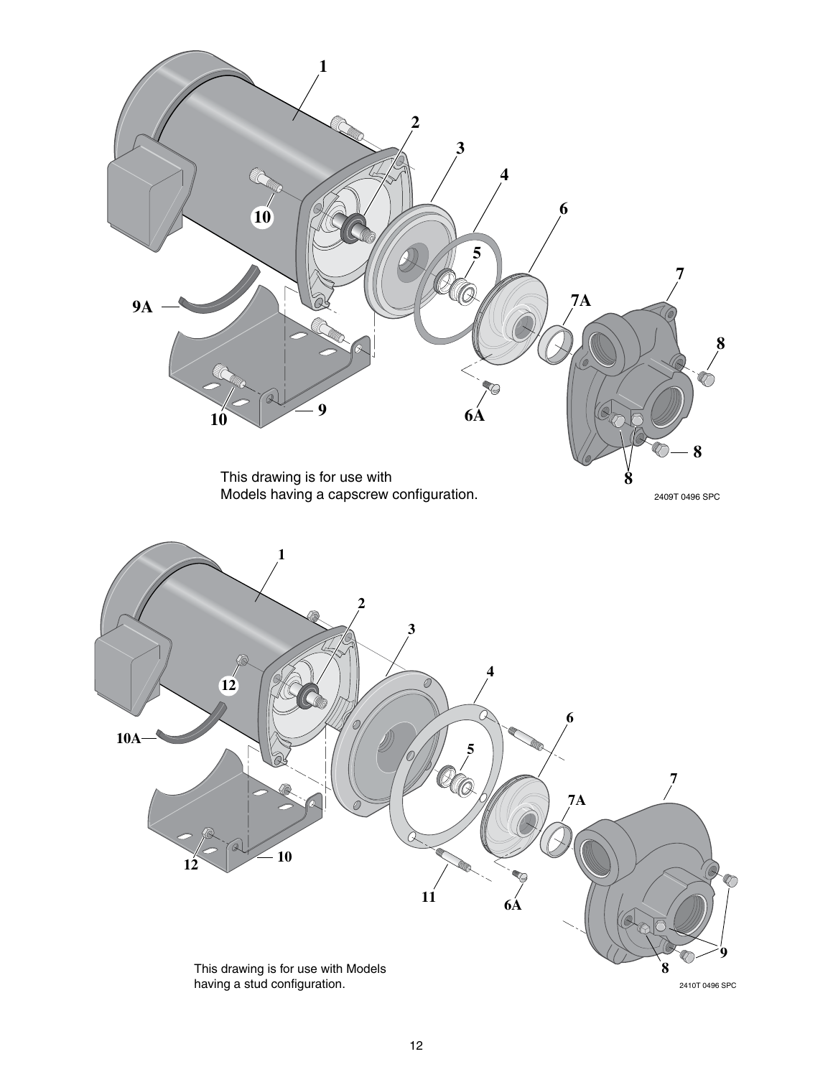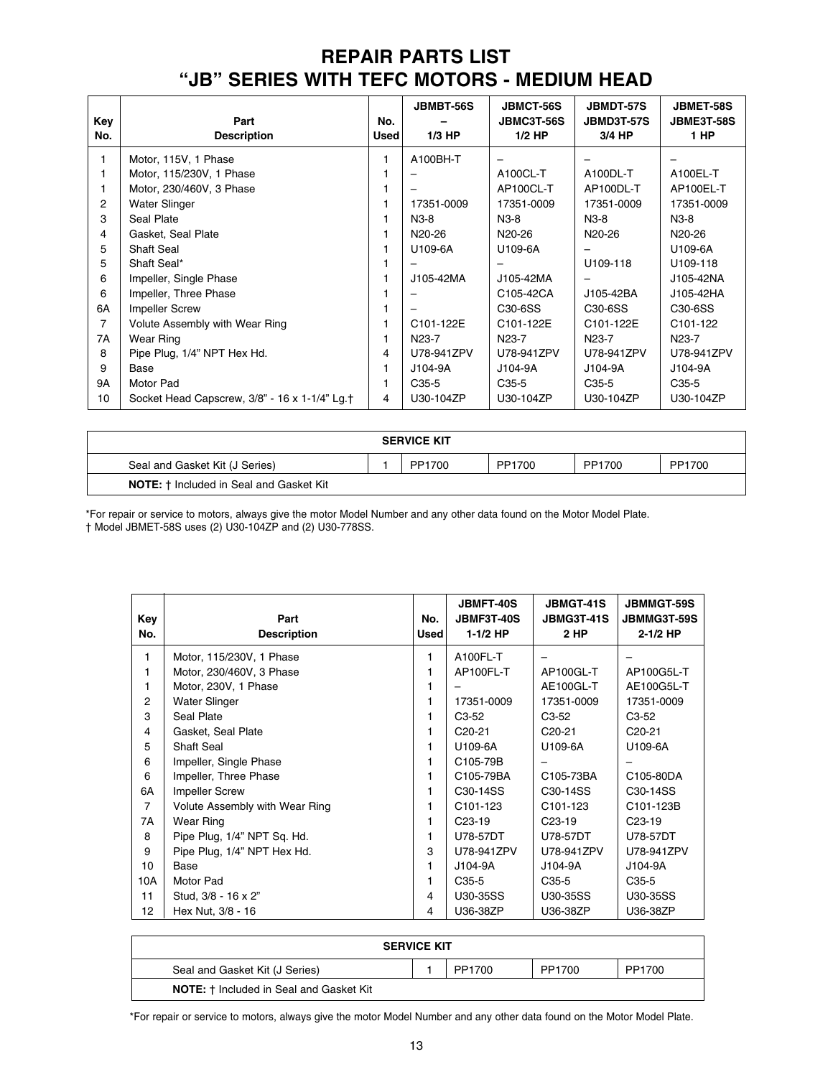## **REPAIR PARTS LIST "JB" SERIES WITH TEFC MOTORS - MEDIUM HEAD**

| Key<br>No.     | Part<br><b>Description</b>                    | No.<br><b>Used</b> | <b>JBMBT-56S</b><br>$1/3$ HP | <b>JBMCT-56S</b><br>JBMC3T-56S<br>$1/2$ HP | <b>JBMDT-57S</b><br><b>JBMD3T-57S</b><br>3/4 HP | <b>JBMET-58S</b><br><b>JBME3T-58S</b><br>1 HP |
|----------------|-----------------------------------------------|--------------------|------------------------------|--------------------------------------------|-------------------------------------------------|-----------------------------------------------|
| 1              | Motor, 115V, 1 Phase                          |                    | A100BH-T                     | -                                          |                                                 |                                               |
| 1              | Motor, 115/230V, 1 Phase                      |                    |                              | A100CL-T                                   | A100DL-T                                        | A100EL-T                                      |
| 1              | Motor, 230/460V, 3 Phase                      |                    |                              | AP100CL-T                                  | AP100DL-T                                       | AP100EL-T                                     |
| $\overline{c}$ | <b>Water Slinger</b>                          |                    | 17351-0009                   | 17351-0009                                 | 17351-0009                                      | 17351-0009                                    |
| 3              | Seal Plate                                    |                    | $N3-8$                       | $N3-8$                                     | $N3-8$                                          | $N3-8$                                        |
| 4              | Gasket, Seal Plate                            |                    | N <sub>20</sub> -26          | N <sub>20</sub> -26                        | N <sub>20</sub> -26                             | N <sub>20</sub> -26                           |
| 5              | Shaft Seal                                    |                    | U109-6A                      | U109-6A                                    | -                                               | U109-6A                                       |
| 5              | Shaft Seal*                                   |                    |                              |                                            | U109-118                                        | U109-118                                      |
| 6              | Impeller, Single Phase                        |                    | J105-42MA                    | J105-42MA                                  |                                                 | J105-42NA                                     |
| 6              | Impeller, Three Phase                         |                    |                              | C105-42CA                                  | J105-42BA                                       | J105-42HA                                     |
| 6A             | <b>Impeller Screw</b>                         |                    |                              | C <sub>30</sub> -6SS                       | C <sub>30</sub> -6 <sub>SS</sub>                | C <sub>30</sub> -6SS                          |
| 7              | Volute Assembly with Wear Ring                |                    | C101-122E                    | C101-122E                                  | C101-122E                                       | C <sub>101</sub> -122                         |
| 7A             | Wear Ring                                     |                    | N <sub>23</sub> -7           | N <sub>23</sub> -7                         | N23-7                                           | N <sub>23</sub> -7                            |
| 8              | Pipe Plug, 1/4" NPT Hex Hd.                   | 4                  | U78-941ZPV                   | U78-941ZPV                                 | U78-941ZPV                                      | U78-941ZPV                                    |
| 9              | Base                                          |                    | J104-9A                      | J104-9A                                    | J104-9A                                         | J104-9A                                       |
| <b>9A</b>      | Motor Pad                                     |                    | $C35-5$                      | $C35-5$                                    | $C35-5$                                         | $C35-5$                                       |
| 10             | Socket Head Capscrew, 3/8" - 16 x 1-1/4" Lg.† | 4                  | U30-104ZP                    | U30-104ZP                                  | U30-104ZP                                       | U30-104ZP                                     |

| <b>SERVICE KIT</b>                             |  |        |        |        |        |
|------------------------------------------------|--|--------|--------|--------|--------|
| Seal and Gasket Kit (J Series)                 |  | PP1700 | PP1700 | PP1700 | PP1700 |
| <b>NOTE:</b> † Included in Seal and Gasket Kit |  |        |        |        |        |

\*For repair or service to motors, always give the motor Model Number and any other data found on the Motor Model Plate. † Model JBMET-58S uses (2) U30-104ZP and (2) U30-778SS.

| Key<br>No. | Part<br><b>Description</b>     | No.<br>Used | <b>JBMFT-40S</b><br><b>JBMF3T-40S</b><br>$1-1/2$ HP | <b>JBMGT-41S</b><br><b>JBMG3T-41S</b><br>2 HP | <b>JBMMGT-59S</b><br>JBMMG3T-59S<br>$2 - 1/2$ HP |
|------------|--------------------------------|-------------|-----------------------------------------------------|-----------------------------------------------|--------------------------------------------------|
| 1          | Motor, 115/230V, 1 Phase       | 1           | A100FL-T                                            |                                               |                                                  |
| 1          | Motor, 230/460V, 3 Phase       |             | AP100FL-T                                           | AP100GL-T                                     | AP100G5L-T                                       |
| 1          | Motor, 230V, 1 Phase           |             |                                                     | AE100GL-T                                     | AE100G5L-T                                       |
| 2          | Water Slinger                  |             | 17351-0009                                          | 17351-0009                                    | 17351-0009                                       |
| 3          | Seal Plate                     |             | $C3-52$                                             | $C3-52$                                       | $C3-52$                                          |
| 4          | Gasket, Seal Plate             |             | C <sub>20</sub> -21                                 | C <sub>20</sub> -21                           | C <sub>20</sub> -21                              |
| 5          | <b>Shaft Seal</b>              |             | U109-6A                                             | U109-6A                                       | U109-6A                                          |
| 6          | Impeller, Single Phase         |             | C105-79B                                            |                                               |                                                  |
| 6          | Impeller, Three Phase          |             | C105-79BA                                           | C105-73BA                                     | C105-80DA                                        |
| 6A         | <b>Impeller Screw</b>          |             | C <sub>30</sub> -14SS                               | C <sub>30</sub> -14SS                         | C <sub>30</sub> -14SS                            |
| 7          | Volute Assembly with Wear Ring |             | C <sub>101</sub> -123                               | C <sub>101</sub> -123                         | C101-123B                                        |
| 7A         | <b>Wear Ring</b>               |             | C <sub>23</sub> -19                                 | C <sub>23</sub> -19                           | C <sub>23</sub> -19                              |
| 8          | Pipe Plug, 1/4" NPT Sq. Hd.    | 1           | U78-57DT                                            | U78-57DT                                      | U78-57DT                                         |
| 9          | Pipe Plug, 1/4" NPT Hex Hd.    | 3           | U78-941ZPV                                          | U78-941ZPV                                    | U78-941ZPV                                       |
| 10         | Base                           |             | J104-9A                                             | J104-9A                                       | J104-9A                                          |
| 10A        | Motor Pad                      |             | $C35-5$                                             | $C35-5$                                       | $C35-5$                                          |
| 11         | Stud, 3/8 - 16 x 2"            | 4           | U30-35SS                                            | U30-35SS                                      | U30-35SS                                         |
| 12         | Hex Nut, 3/8 - 16              | 4           | U36-38ZP                                            | U36-38ZP                                      | U36-38ZP                                         |

| <b>SERVICE KIT</b>                             |  |        |        |        |  |  |
|------------------------------------------------|--|--------|--------|--------|--|--|
| Seal and Gasket Kit (J Series)                 |  | PP1700 | PP1700 | PP1700 |  |  |
| <b>NOTE:</b> † Included in Seal and Gasket Kit |  |        |        |        |  |  |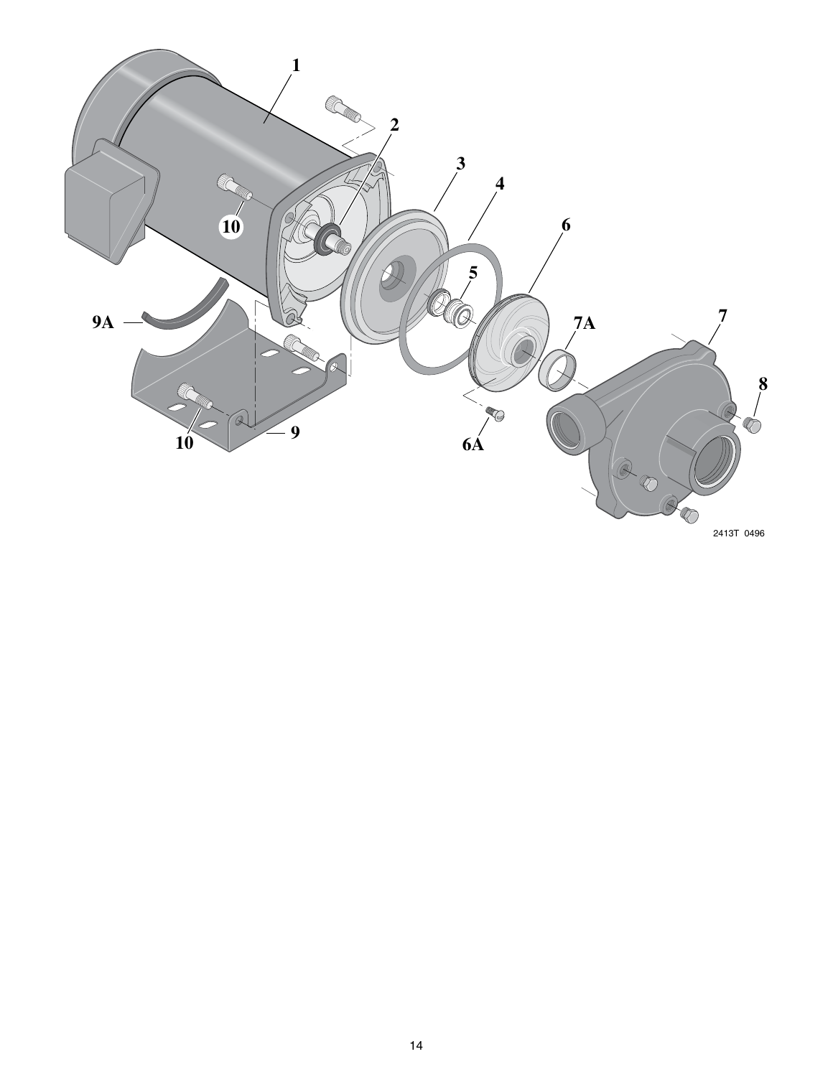

2413T 0496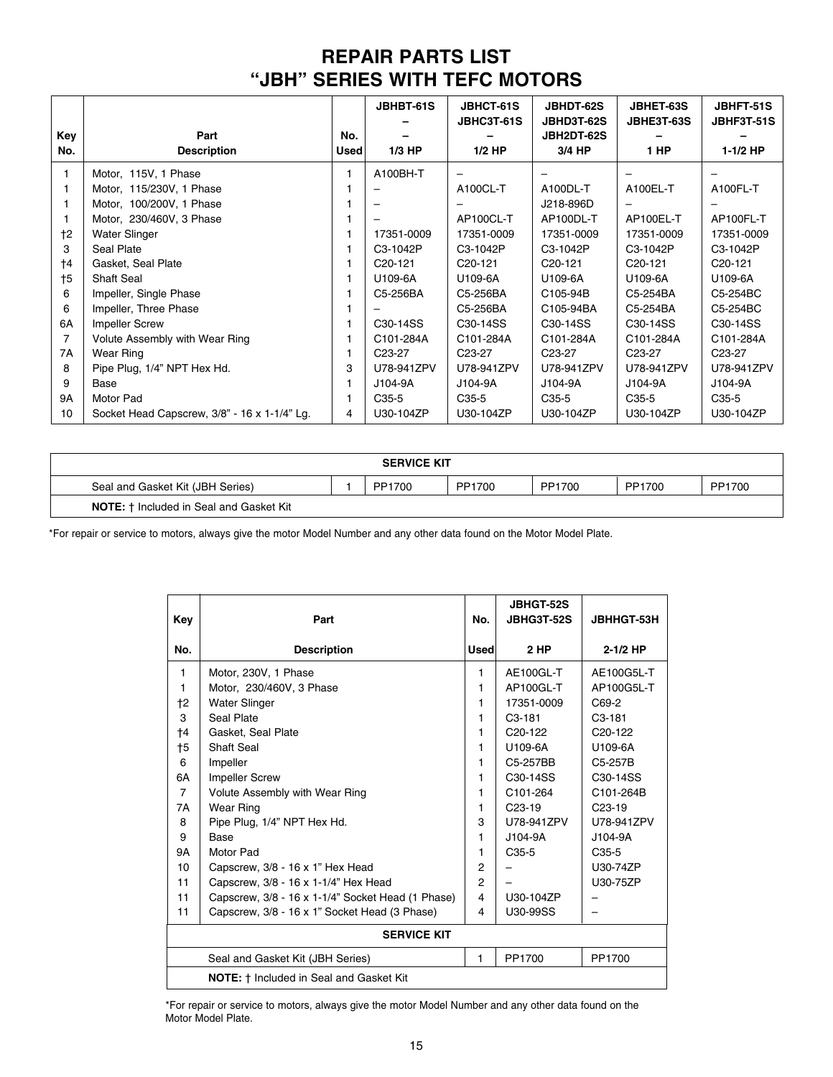## **REPAIR PARTS LIST "JBH" SERIES WITH TEFC MOTORS**

|           |                                              |             | JBHBT-61S            | JBHCT-61S<br>JBHC3T-61S  | JBHDT-62S<br>JBHD3T-62S | JBHET-63S<br>JBHE3T-63S | <b>JBHFT-51S</b><br>JBHF3T-51S |
|-----------|----------------------------------------------|-------------|----------------------|--------------------------|-------------------------|-------------------------|--------------------------------|
| Key       | Part                                         | No.         |                      |                          | <b>JBH2DT-62S</b>       |                         |                                |
| No.       | <b>Description</b>                           | <b>Used</b> | $1/3$ HP             | $1/2$ HP                 | 3/4 HP                  | 1 HP                    | 1-1/2 HP                       |
| 1         | Motor, 115V, 1 Phase                         | 1           | A100BH-T             | $\overline{\phantom{0}}$ |                         |                         |                                |
|           | Motor, 115/230V, 1 Phase                     |             |                      | A100CL-T                 | A100DL-T                | A100EL-T                | A100FL-T                       |
|           | Motor, 100/200V, 1 Phase                     |             |                      |                          | J218-896D               |                         |                                |
|           | Motor, 230/460V, 3 Phase                     |             |                      | AP100CL-T                | AP100DL-T               | AP100EL-T               | AP100FL-T                      |
| $+2$      | <b>Water Slinger</b>                         |             | 17351-0009           | 17351-0009               | 17351-0009              | 17351-0009              | 17351-0009                     |
| 3         | Seal Plate                                   |             | C3-1042P             | C3-1042P                 | C3-1042P                | C3-1042P                | C3-1042P                       |
| $+4$      | Gasket, Seal Plate                           |             | C <sub>20</sub> -121 | C <sub>20</sub> -121     | C <sub>20</sub> -121    | C <sub>20</sub> -121    | C <sub>20</sub> -121           |
| $+5$      | <b>Shaft Seal</b>                            |             | U109-6A              | U109-6A                  | U109-6A                 | U109-6A                 | U109-6A                        |
| 6         | Impeller, Single Phase                       |             | C5-256BA             | C5-256BA                 | C105-94B                | C5-254BA                | C5-254BC                       |
| 6         | Impeller, Three Phase                        |             |                      | C5-256BA                 | C105-94BA               | C5-254BA                | C5-254BC                       |
| 6A        | <b>Impeller Screw</b>                        |             | C30-14SS             | C <sub>30</sub> -14SS    | C <sub>30</sub> -14SS   | C <sub>30</sub> -14SS   | C30-14SS                       |
| 7         | Volute Assembly with Wear Ring               |             | C101-284A            | C101-284A                | C101-284A               | C101-284A               | C101-284A                      |
| 7A        | Wear Ring                                    |             | C <sub>23</sub> -27  | C <sub>23</sub> -27      | C <sub>23</sub> -27     | C <sub>23</sub> -27     | C <sub>23</sub> -27            |
| 8         | Pipe Plug, 1/4" NPT Hex Hd.                  | 3           | U78-941ZPV           | U78-941ZPV               | U78-941ZPV              | U78-941ZPV              | U78-941ZPV                     |
| 9         | Base                                         |             | J104-9A              | J104-9A                  | J104-9A                 | J104-9A                 | J104-9A                        |
| <b>9A</b> | Motor Pad                                    |             | C <sub>35</sub> -5   | C <sub>35</sub> -5       | C <sub>35</sub> -5      | $C35-5$                 | C <sub>35</sub> -5             |
| 10        | Socket Head Capscrew, 3/8" - 16 x 1-1/4" Lg. | 4           | U30-104ZP            | U30-104ZP                | U30-104ZP               | U30-104ZP               | U30-104ZP                      |

| <b>SERVICE KIT</b>                             |  |        |        |        |        |        |
|------------------------------------------------|--|--------|--------|--------|--------|--------|
| Seal and Gasket Kit (JBH Series)               |  | PP1700 | PP1700 | PP1700 | PP1700 | PP1700 |
| <b>NOTE:</b> † Included in Seal and Gasket Kit |  |        |        |        |        |        |

\*For repair or service to motors, always give the motor Model Number and any other data found on the Motor Model Plate.

| Key            | Part                                              | No.            | <b>JBHGT-52S</b><br>JBHG3T-52S | <b>JBHHGT-53H</b>    |  |  |  |  |
|----------------|---------------------------------------------------|----------------|--------------------------------|----------------------|--|--|--|--|
| No.            | <b>Description</b>                                | <b>Used</b>    | 2 HP                           | $2 - 1/2$ HP         |  |  |  |  |
| 1              | Motor, 230V, 1 Phase                              | 1              | AE100GL-T                      | AE100G5L-T           |  |  |  |  |
| 1              | Motor, 230/460V, 3 Phase                          | 1              | AP100GL-T                      | AP100G5L-T           |  |  |  |  |
| †2             | <b>Water Slinger</b>                              | 1              | 17351-0009                     | C69-2                |  |  |  |  |
| 3              | Seal Plate                                        | 1              | $C3-181$                       | C <sub>3</sub> -181  |  |  |  |  |
| †4             | Gasket, Seal Plate                                | 1              | C <sub>20</sub> -122           | C <sub>20</sub> -122 |  |  |  |  |
| †5             | Shaft Seal                                        | 1              | U109-6A                        | U109-6A              |  |  |  |  |
| 6              | Impeller                                          | 1              | C5-257BB                       | C <sub>5</sub> -257B |  |  |  |  |
| 6A             | <b>Impeller Screw</b>                             | 1              | C30-14SS                       | C30-14SS             |  |  |  |  |
| $\overline{7}$ | Volute Assembly with Wear Ring                    | 1              | C101-264                       | C101-264B            |  |  |  |  |
| <b>7A</b>      | <b>Wear Ring</b>                                  | 1              | $C23-19$                       | C <sub>23</sub> -19  |  |  |  |  |
| 8              | Pipe Plug, 1/4" NPT Hex Hd.                       | 3              | U78-941ZPV                     | U78-941ZPV           |  |  |  |  |
| 9              | Base                                              | 1              | J104-9A                        | J104-9A              |  |  |  |  |
| 9A             | Motor Pad                                         | 1              | $C35-5$                        | C <sub>35</sub> -5   |  |  |  |  |
| 10             | Capscrew, 3/8 - 16 x 1" Hex Head                  | 2              |                                | U30-74ZP             |  |  |  |  |
| 11             | Capscrew, 3/8 - 16 x 1-1/4" Hex Head              | $\overline{2}$ |                                | U30-75ZP             |  |  |  |  |
| 11             | Capscrew, 3/8 - 16 x 1-1/4" Socket Head (1 Phase) | 4              | U30-104ZP                      |                      |  |  |  |  |
| 11             | Capscrew, 3/8 - 16 x 1" Socket Head (3 Phase)     | 4              | U30-99SS                       |                      |  |  |  |  |
|                | <b>SERVICE KIT</b>                                |                |                                |                      |  |  |  |  |
|                | Seal and Gasket Kit (JBH Series)                  | 1              | PP1700                         | PP1700               |  |  |  |  |
|                | <b>NOTE:</b> † Included in Seal and Gasket Kit    |                |                                |                      |  |  |  |  |